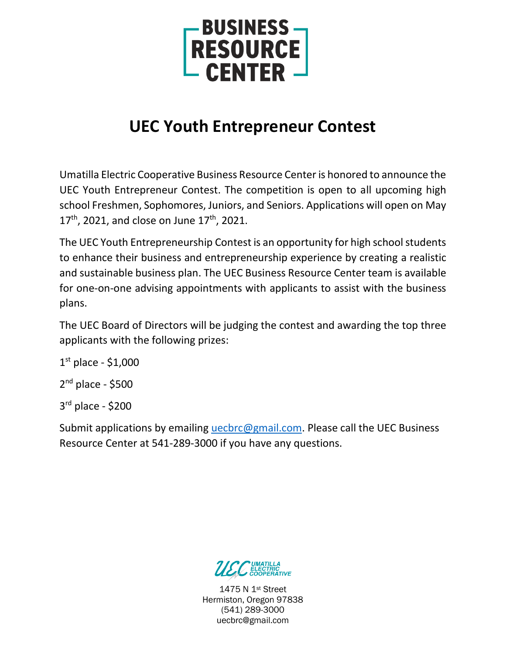

# **UEC Youth Entrepreneur Contest**

Umatilla Electric Cooperative Business Resource Center is honored to announce the UEC Youth Entrepreneur Contest. The competition is open to all upcoming high school Freshmen, Sophomores, Juniors, and Seniors. Applications will open on May  $17<sup>th</sup>$ , 2021, and close on June  $17<sup>th</sup>$ , 2021.

The UEC Youth Entrepreneurship Contest is an opportunity for high school students to enhance their business and entrepreneurship experience by creating a realistic and sustainable business plan. The UEC Business Resource Center team is available for one-on-one advising appointments with applicants to assist with the business plans.

The UEC Board of Directors will be judging the contest and awarding the top three applicants with the following prizes:

1 st place - \$1,000 2<sup>nd</sup> place - \$500

3 rd place - \$200

Submit applications by emailing *uecbrc@gmail.com*. Please call the UEC Business Resource Center at 541-289-3000 if you have any questions.

1475 N 1st Street Hermiston, Oregon 97838 (541) 289-3000 uecbrc@gmail.com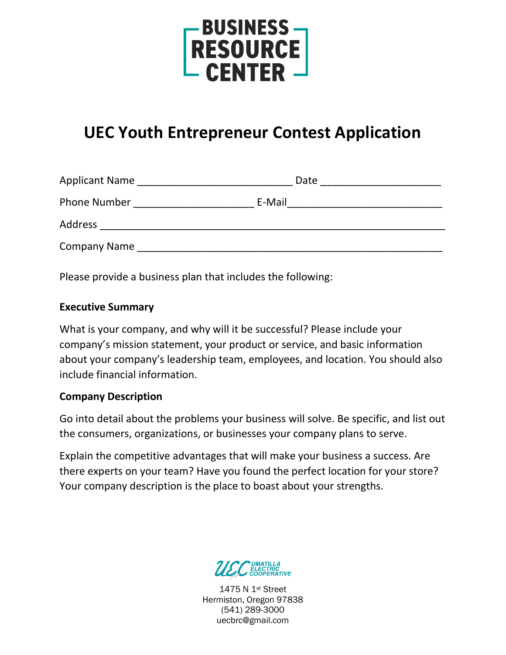

# **UEC Youth Entrepreneur Contest Application**

| <b>Applicant Name</b> | Date   |  |
|-----------------------|--------|--|
| <b>Phone Number</b>   | E-Mail |  |
| <b>Address</b>        |        |  |
| <b>Company Name</b>   |        |  |

Please provide a business plan that includes the following:

## **Executive Summary**

What is your company, and why will it be successful? Please include your company's mission statement, your product or service, and basic information about your company's leadership team, employees, and location. You should also include financial information.

## **Company Description**

Go into detail about the problems your business will solve. Be specific, and list out the consumers, organizations, or businesses your company plans to serve.

Explain the competitive advantages that will make your business a success. Are there experts on your team? Have you found the perfect location for your store? Your company description is the place to boast about your strengths.



1475 N 1st Street Hermiston, Oregon 97838 (541) 289-3000 uecbrc@gmail.com